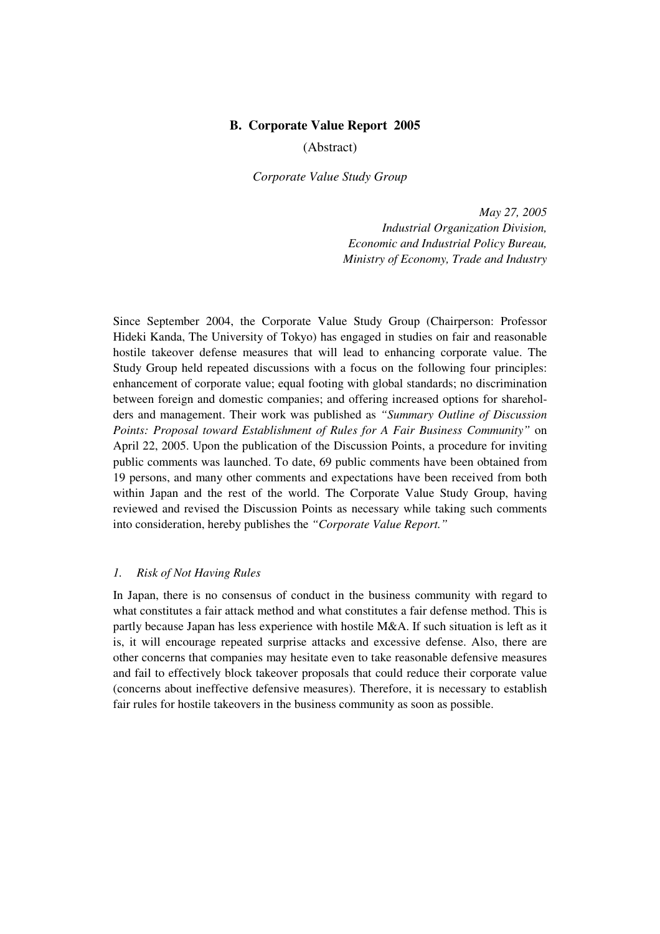## **B. Corporate Value Report 2005**

(Abstract)

*Corporate Value Study Group* 

*May 27, 2005 Industrial Organization Division, Economic and Industrial Policy Bureau, Ministry of Economy, Trade and Industry* 

Since September 2004, the Corporate Value Study Group (Chairperson: Professor Hideki Kanda, The University of Tokyo) has engaged in studies on fair and reasonable hostile takeover defense measures that will lead to enhancing corporate value. The Study Group held repeated discussions with a focus on the following four principles: enhancement of corporate value; equal footing with global standards; no discrimination between foreign and domestic companies; and offering increased options for shareholders and management. Their work was published as *"Summary Outline of Discussion Points: Proposal toward Establishment of Rules for A Fair Business Community"* on April 22, 2005. Upon the publication of the Discussion Points, a procedure for inviting public comments was launched. To date, 69 public comments have been obtained from 19 persons, and many other comments and expectations have been received from both within Japan and the rest of the world. The Corporate Value Study Group, having reviewed and revised the Discussion Points as necessary while taking such comments into consideration, hereby publishes the *"Corporate Value Report."* 

#### *1. Risk of Not Having Rules*

In Japan, there is no consensus of conduct in the business community with regard to what constitutes a fair attack method and what constitutes a fair defense method. This is partly because Japan has less experience with hostile M&A. If such situation is left as it is, it will encourage repeated surprise attacks and excessive defense. Also, there are other concerns that companies may hesitate even to take reasonable defensive measures and fail to effectively block takeover proposals that could reduce their corporate value (concerns about ineffective defensive measures). Therefore, it is necessary to establish fair rules for hostile takeovers in the business community as soon as possible.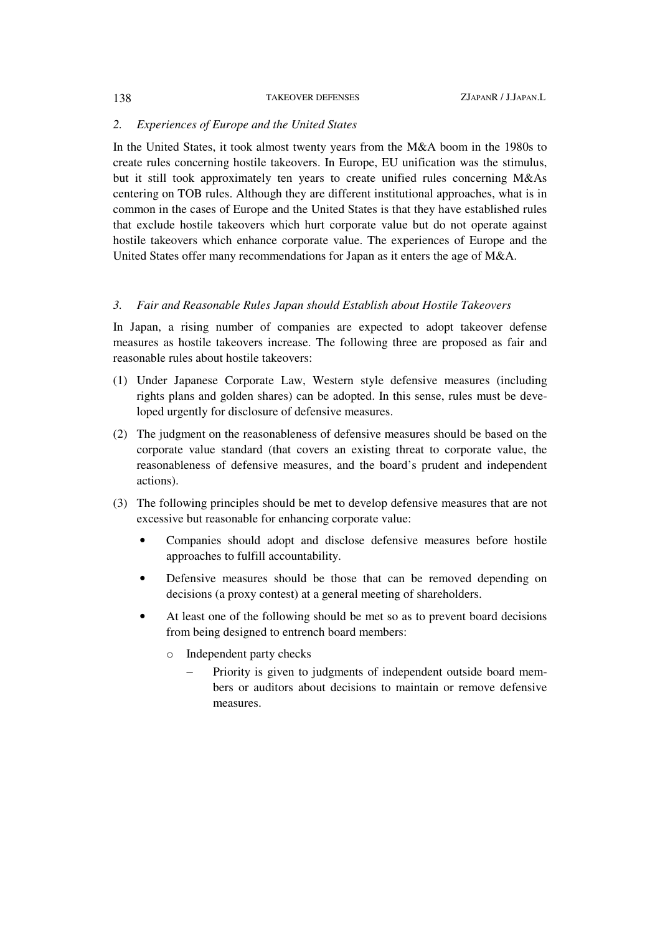#### 138 TAKEOVER DEFENSES ZJAPANR / J.JAPAN.L

## *2. Experiences of Europe and the United States*

In the United States, it took almost twenty years from the M&A boom in the 1980s to create rules concerning hostile takeovers. In Europe, EU unification was the stimulus, but it still took approximately ten years to create unified rules concerning M&As centering on TOB rules. Although they are different institutional approaches, what is in common in the cases of Europe and the United States is that they have established rules that exclude hostile takeovers which hurt corporate value but do not operate against hostile takeovers which enhance corporate value. The experiences of Europe and the United States offer many recommendations for Japan as it enters the age of M&A.

## *3. Fair and Reasonable Rules Japan should Establish about Hostile Takeovers*

In Japan, a rising number of companies are expected to adopt takeover defense measures as hostile takeovers increase. The following three are proposed as fair and reasonable rules about hostile takeovers:

- (1) Under Japanese Corporate Law, Western style defensive measures (including rights plans and golden shares) can be adopted. In this sense, rules must be developed urgently for disclosure of defensive measures.
- (2) The judgment on the reasonableness of defensive measures should be based on the corporate value standard (that covers an existing threat to corporate value, the reasonableness of defensive measures, and the board's prudent and independent actions).
- (3) The following principles should be met to develop defensive measures that are not excessive but reasonable for enhancing corporate value:
	- Companies should adopt and disclose defensive measures before hostile approaches to fulfill accountability.
	- Defensive measures should be those that can be removed depending on decisions (a proxy contest) at a general meeting of shareholders.
	- At least one of the following should be met so as to prevent board decisions from being designed to entrench board members:
		- o Independent party checks
			- Priority is given to judgments of independent outside board members or auditors about decisions to maintain or remove defensive measures.